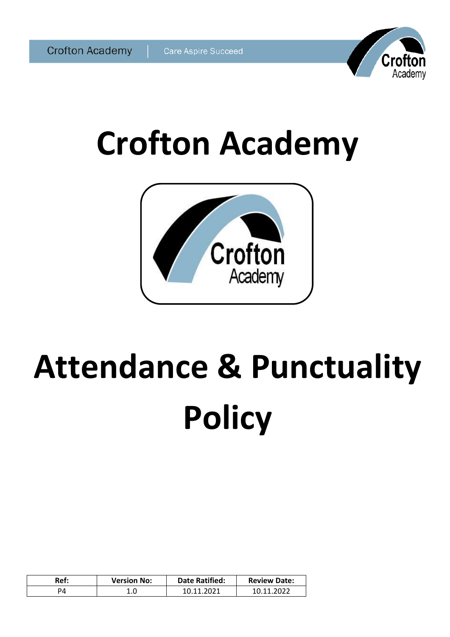

# **Crofton Academy**



# **Attendance & Punctuality Policy**

| Ref: | <b>Version No:</b> | <b>Date Ratified:</b> | <b>Review Date:</b> |
|------|--------------------|-----------------------|---------------------|
|      | $1.0\,$            | ാറാ1                  | วกวว<br>10 11       |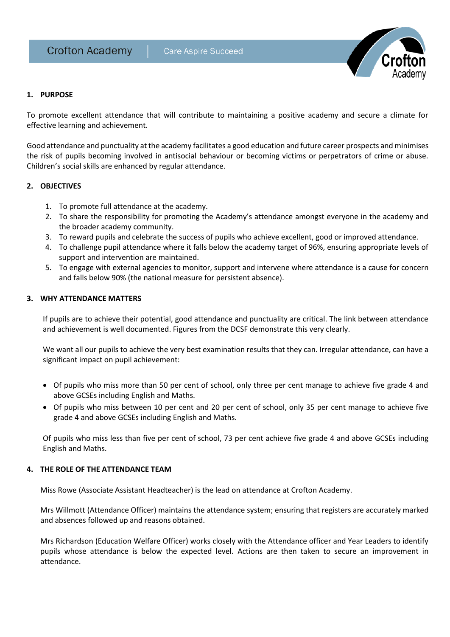

# **1. PURPOSE**

To promote excellent attendance that will contribute to maintaining a positive academy and secure a climate for effective learning and achievement.

Good attendance and punctuality at the academy facilitates a good education and future career prospects and minimises the risk of pupils becoming involved in antisocial behaviour or becoming victims or perpetrators of crime or abuse. Children's social skills are enhanced by regular attendance.

# **2. OBJECTIVES**

- 1. To promote full attendance at the academy.
- 2. To share the responsibility for promoting the Academy's attendance amongst everyone in the academy and the broader academy community.
- 3. To reward pupils and celebrate the success of pupils who achieve excellent, good or improved attendance.
- 4. To challenge pupil attendance where it falls below the academy target of 96%, ensuring appropriate levels of support and intervention are maintained.
- 5. To engage with external agencies to monitor, support and intervene where attendance is a cause for concern and falls below 90% (the national measure for persistent absence).

# **3. WHY ATTENDANCE MATTERS**

If pupils are to achieve their potential, good attendance and punctuality are critical. The link between attendance and achievement is well documented. Figures from the DCSF demonstrate this very clearly.

We want all our pupils to achieve the very best examination results that they can. Irregular attendance, can have a significant impact on pupil achievement:

- Of pupils who miss more than 50 per cent of school, only three per cent manage to achieve five grade 4 and above GCSEs including English and Maths.
- Of pupils who miss between 10 per cent and 20 per cent of school, only 35 per cent manage to achieve five grade 4 and above GCSEs including English and Maths.

Of pupils who miss less than five per cent of school, 73 per cent achieve five grade 4 and above GCSEs including English and Maths.

# **4. THE ROLE OF THE ATTENDANCE TEAM**

Miss Rowe (Associate Assistant Headteacher) is the lead on attendance at Crofton Academy.

Mrs Willmott (Attendance Officer) maintains the attendance system; ensuring that registers are accurately marked and absences followed up and reasons obtained.

Mrs Richardson (Education Welfare Officer) works closely with the Attendance officer and Year Leaders to identify pupils whose attendance is below the expected level. Actions are then taken to secure an improvement in attendance.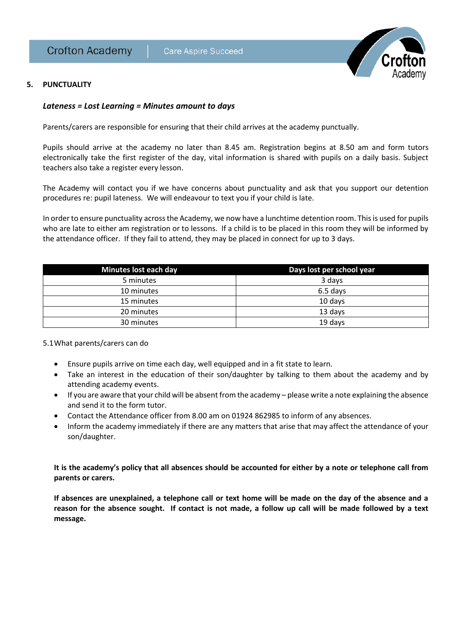

# **5. PUNCTUALITY**

# *Lateness = Lost Learning = Minutes amount to days*

Parents/carers are responsible for ensuring that their child arrives at the academy punctually.

Pupils should arrive at the academy no later than 8.45 am. Registration begins at 8.50 am and form tutors electronically take the first register of the day, vital information is shared with pupils on a daily basis. Subject teachers also take a register every lesson.

The Academy will contact you if we have concerns about punctuality and ask that you support our detention procedures re: pupil lateness. We will endeavour to text you if your child is late.

In order to ensure punctuality across the Academy, we now have a lunchtime detention room. This is used for pupils who are late to either am registration or to lessons. If a child is to be placed in this room they will be informed by the attendance officer. If they fail to attend, they may be placed in connect for up to 3 days.

| Minutes lost each day | Days lost per school year |
|-----------------------|---------------------------|
| 5 minutes             | 3 days                    |
| 10 minutes            | 6.5 days                  |
| 15 minutes            | 10 days                   |
| 20 minutes            | 13 days                   |
| 30 minutes            | 19 days                   |

5.1What parents/carers can do

- Ensure pupils arrive on time each day, well equipped and in a fit state to learn.
- Take an interest in the education of their son/daughter by talking to them about the academy and by attending academy events.
- If you are aware that your child will be absent from the academy please write a note explaining the absence and send it to the form tutor.
- Contact the Attendance officer from 8.00 am on 01924 862985 to inform of any absences.
- Inform the academy immediately if there are any matters that arise that may affect the attendance of your son/daughter.

**It is the academy's policy that all absences should be accounted for either by a note or telephone call from parents or carers.**

**If absences are unexplained, a telephone call or text home will be made on the day of the absence and a reason for the absence sought. If contact is not made, a follow up call will be made followed by a text message.**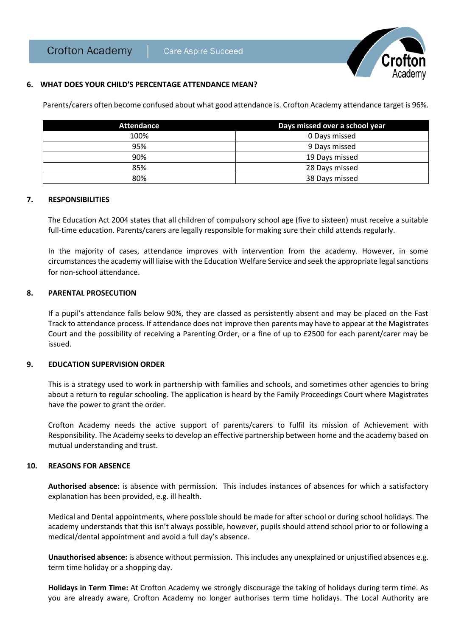

### **6. WHAT DOES YOUR CHILD'S PERCENTAGE ATTENDANCE MEAN?**

Parents/carers often become confused about what good attendance is. Crofton Academy attendance target is 96%.

| Attendance | Days missed over a school year |
|------------|--------------------------------|
| 100%       | 0 Days missed                  |
| 95%        | 9 Days missed                  |
| 90%        | 19 Days missed                 |
| 85%        | 28 Days missed                 |
| 80%        | 38 Days missed                 |

#### **7. RESPONSIBILITIES**

The Education Act 2004 states that all children of compulsory school age (five to sixteen) must receive a suitable full-time education. Parents/carers are legally responsible for making sure their child attends regularly.

In the majority of cases, attendance improves with intervention from the academy. However, in some circumstances the academy will liaise with the Education Welfare Service and seek the appropriate legal sanctions for non-school attendance.

#### **8. PARENTAL PROSECUTION**

If a pupil's attendance falls below 90%, they are classed as persistently absent and may be placed on the Fast Track to attendance process. If attendance does not improve then parents may have to appear at the Magistrates Court and the possibility of receiving a Parenting Order, or a fine of up to £2500 for each parent/carer may be issued.

#### **9. EDUCATION SUPERVISION ORDER**

This is a strategy used to work in partnership with families and schools, and sometimes other agencies to bring about a return to regular schooling. The application is heard by the Family Proceedings Court where Magistrates have the power to grant the order.

Crofton Academy needs the active support of parents/carers to fulfil its mission of Achievement with Responsibility. The Academy seeks to develop an effective partnership between home and the academy based on mutual understanding and trust.

#### **10. REASONS FOR ABSENCE**

**Authorised absence:** is absence with permission. This includes instances of absences for which a satisfactory explanation has been provided, e.g. ill health.

Medical and Dental appointments, where possible should be made for after school or during school holidays. The academy understands that this isn't always possible, however, pupils should attend school prior to or following a medical/dental appointment and avoid a full day's absence.

**Unauthorised absence:** is absence without permission. This includes any unexplained or unjustified absences e.g. term time holiday or a shopping day.

**Holidays in Term Time:** At Crofton Academy we strongly discourage the taking of holidays during term time. As you are already aware, Crofton Academy no longer authorises term time holidays. The Local Authority are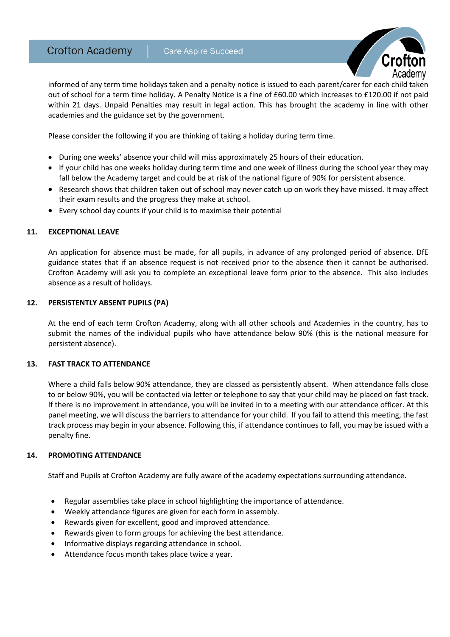

informed of any term time holidays taken and a penalty notice is issued to each parent/carer for each child taken out of school for a term time holiday. A Penalty Notice is a fine of £60.00 which increases to £120.00 if not paid within 21 days. Unpaid Penalties may result in legal action. This has brought the academy in line with other academies and the guidance set by the government.

Please consider the following if you are thinking of taking a holiday during term time.

- During one weeks' absence your child will miss approximately 25 hours of their education.
- If your child has one weeks holiday during term time and one week of illness during the school year they may fall below the Academy target and could be at risk of the national figure of 90% for persistent absence.
- Research shows that children taken out of school may never catch up on work they have missed. It may affect their exam results and the progress they make at school.
- Every school day counts if your child is to maximise their potential

# **11. EXCEPTIONAL LEAVE**

An application for absence must be made, for all pupils, in advance of any prolonged period of absence. DfE guidance states that if an absence request is not received prior to the absence then it cannot be authorised. Crofton Academy will ask you to complete an exceptional leave form prior to the absence. This also includes absence as a result of holidays.

# **12. PERSISTENTLY ABSENT PUPILS (PA)**

At the end of each term Crofton Academy, along with all other schools and Academies in the country, has to submit the names of the individual pupils who have attendance below 90% (this is the national measure for persistent absence).

# **13. FAST TRACK TO ATTENDANCE**

Where a child falls below 90% attendance, they are classed as persistently absent. When attendance falls close to or below 90%, you will be contacted via letter or telephone to say that your child may be placed on fast track. If there is no improvement in attendance, you will be invited in to a meeting with our attendance officer. At this panel meeting, we will discuss the barriers to attendance for your child. If you fail to attend this meeting, the fast track process may begin in your absence. Following this, if attendance continues to fall, you may be issued with a penalty fine.

# **14. PROMOTING ATTENDANCE**

Staff and Pupils at Crofton Academy are fully aware of the academy expectations surrounding attendance.

- Regular assemblies take place in school highlighting the importance of attendance.
- Weekly attendance figures are given for each form in assembly.
- Rewards given for excellent, good and improved attendance.
- Rewards given to form groups for achieving the best attendance.
- Informative displays regarding attendance in school.
- Attendance focus month takes place twice a year.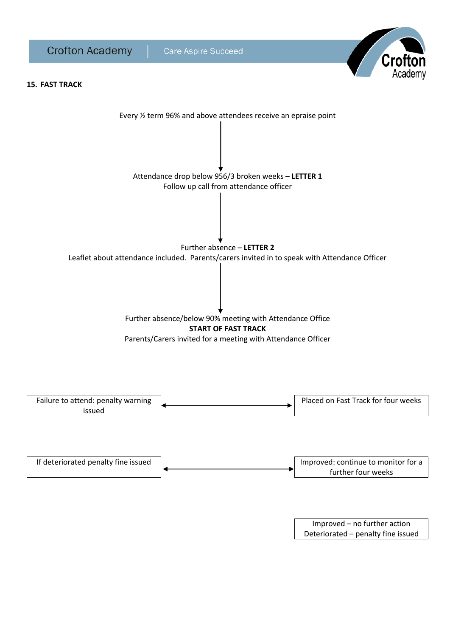

Improved – no further action Deteriorated – penalty fine issued